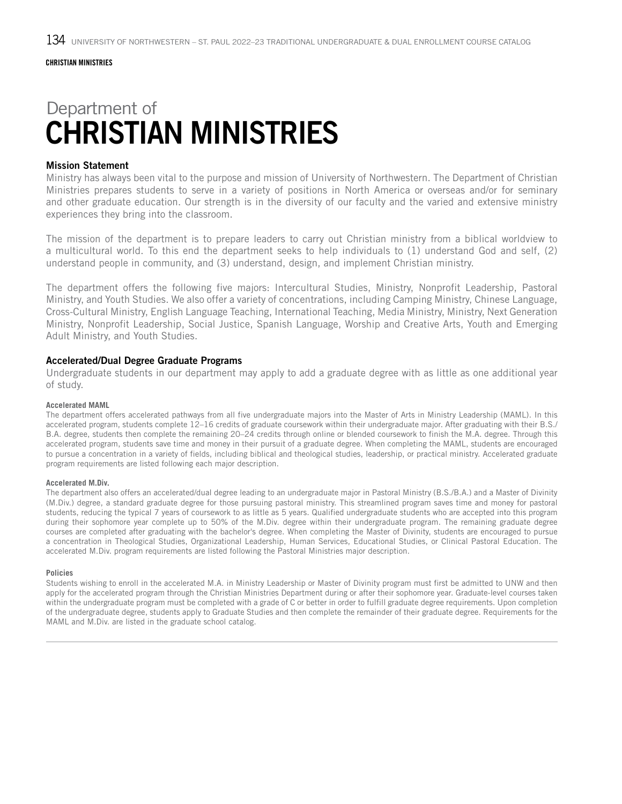# Department of CHRISTIAN MINISTRIES

### Mission Statement

Ministry has always been vital to the purpose and mission of University of Northwestern. The Department of Christian Ministries prepares students to serve in a variety of positions in North America or overseas and/or for seminary and other graduate education. Our strength is in the diversity of our faculty and the varied and extensive ministry experiences they bring into the classroom.

The mission of the department is to prepare leaders to carry out Christian ministry from a biblical worldview to a multicultural world. To this end the department seeks to help individuals to (1) understand God and self, (2) understand people in community, and (3) understand, design, and implement Christian ministry.

The department offers the following five majors: Intercultural Studies, Ministry, Nonprofit Leadership, Pastoral Ministry, and Youth Studies. We also offer a variety of concentrations, including Camping Ministry, Chinese Language, Cross-Cultural Ministry, English Language Teaching, International Teaching, Media Ministry, Ministry, Next Generation Ministry, Nonprofit Leadership, Social Justice, Spanish Language, Worship and Creative Arts, Youth and Emerging Adult Ministry, and Youth Studies.

#### Accelerated/Dual Degree Graduate Programs

Undergraduate students in our department may apply to add a graduate degree with as little as one additional year of study.

#### **Accelerated MAML**

The department offers accelerated pathways from all five undergraduate majors into the Master of Arts in Ministry Leadership (MAML). In this accelerated program, students complete 12–16 credits of graduate coursework within their undergraduate major. After graduating with their B.S./ B.A. degree, students then complete the remaining 20–24 credits through online or blended coursework to finish the M.A. degree. Through this accelerated program, students save time and money in their pursuit of a graduate degree. When completing the MAML, students are encouraged to pursue a concentration in a variety of fields, including biblical and theological studies, leadership, or practical ministry. Accelerated graduate program requirements are listed following each major description.

#### **Accelerated M.Div.**

The department also offers an accelerated/dual degree leading to an undergraduate major in Pastoral Ministry (B.S./B.A.) and a Master of Divinity (M.Div.) degree, a standard graduate degree for those pursuing pastoral ministry. This streamlined program saves time and money for pastoral students, reducing the typical 7 years of coursework to as little as 5 years. Qualified undergraduate students who are accepted into this program during their sophomore year complete up to 50% of the M.Div. degree within their undergraduate program. The remaining graduate degree courses are completed after graduating with the bachelor's degree. When completing the Master of Divinity, students are encouraged to pursue a concentration in Theological Studies, Organizational Leadership, Human Services, Educational Studies, or Clinical Pastoral Education. The accelerated M.Div. program requirements are listed following the Pastoral Ministries major description.

#### **Policies**

Students wishing to enroll in the accelerated M.A. in Ministry Leadership or Master of Divinity program must first be admitted to UNW and then apply for the accelerated program through the Christian Ministries Department during or after their sophomore year. Graduate-level courses taken within the undergraduate program must be completed with a grade of C or better in order to fulfill graduate degree requirements. Upon completion of the undergraduate degree, students apply to Graduate Studies and then complete the remainder of their graduate degree. Requirements for the MAML and M.Div. are listed in the graduate school catalog.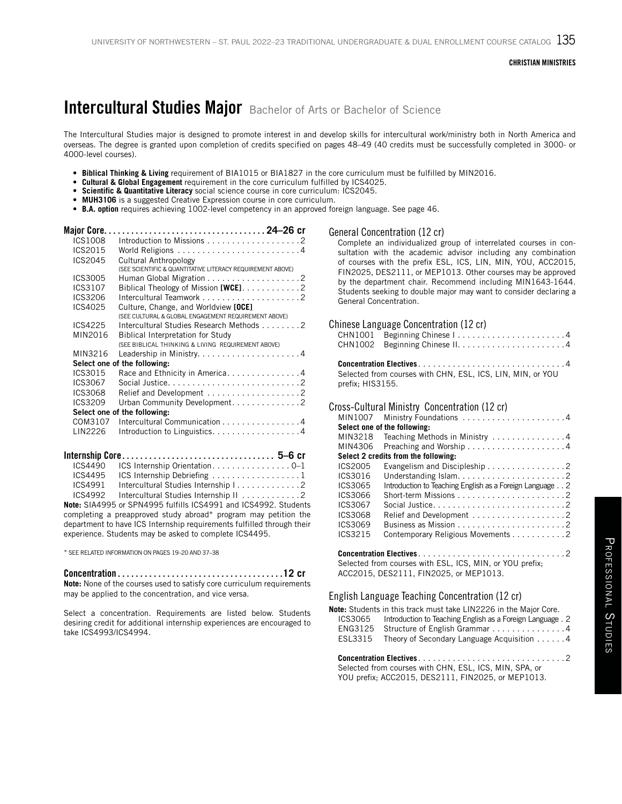# Intercultural Studies Major Bachelor of Arts or Bachelor of Science

The Intercultural Studies major is designed to promote interest in and develop skills for intercultural work/ministry both in North America and overseas. The degree is granted upon completion of credits specified on pages 48–49 (40 credits must be successfully completed in 3000- or 4000-level courses).

- **• Biblical Thinking & Living** requirement of BIA1015 or BIA1827 in the core curriculum must be fulfilled by MIN2016.
- **• Cultural & Global Engagement** requirement in the core curriculum fulfilled by ICS4025.
- **• Scientific & Quantitative Literacy** social science course in core curriculum: ICS2045.
- **• MUH3106** is a suggested Creative Expression course in core curriculum.
- **• B.A. option** requires achieving 1002-level competency in an approved foreign language. See page 46.

| <b>Major Core.</b> |                                                            |
|--------------------|------------------------------------------------------------|
| ICS1008            |                                                            |
| ICS2015            |                                                            |
| ICS2045            | Cultural Anthropology                                      |
|                    | (SEE SCIENTIFIC & QUANTITATIVE LITERACY REQUIREMENT ABOVE) |
| ICS3005            |                                                            |
| ICS3107            | Biblical Theology of Mission $[WCE]$ 2                     |
| ICS3206            |                                                            |
| ICS4025            | Culture, Change, and Worldview [OCE]                       |
|                    | (SEE CULTURAL & GLOBAL ENGAGEMENT REQUIREMENT ABOVE)       |
| ICS4225            | Intercultural Studies Research Methods 2                   |
| MIN2016            | Biblical Interpretation for Study                          |
|                    | (SEE BIBLICAL THINKING & LIVING REQUIREMENT ABOVE)         |
| MIN3216            | Leadership in Ministry4                                    |
|                    | Select one of the following:                               |
| ICS3015            | Race and Ethnicity in America4                             |
| ICS3067            |                                                            |
| ICS3068            |                                                            |
| ICS3209            | Urban Community Development2                               |
|                    | Select one of the following:                               |
| COM3107            | Intercultural Communication 4                              |
| LIN2226            | Introduction to Linguistics. 4                             |

|         | ICS4490 ICS Internship Orientation0–1                                                                                                                                                                                                                                                                       |  |
|---------|-------------------------------------------------------------------------------------------------------------------------------------------------------------------------------------------------------------------------------------------------------------------------------------------------------------|--|
|         | ICS4495 ICS Internship Debriefing 1                                                                                                                                                                                                                                                                         |  |
| ICS4991 |                                                                                                                                                                                                                                                                                                             |  |
| ICS4992 | Intercultural Studies Internship II 2                                                                                                                                                                                                                                                                       |  |
|         | $\mathbf{H}$ + $\mathbf{H}$ + $\mathbf{H}$ + $\mathbf{H}$ + $\mathbf{H}$ + $\mathbf{H}$ + $\mathbf{H}$ + $\mathbf{H}$ + $\mathbf{H}$ + $\mathbf{H}$ + $\mathbf{H}$ + $\mathbf{H}$ + $\mathbf{H}$ + $\mathbf{H}$ + $\mathbf{H}$ + $\mathbf{H}$ + $\mathbf{H}$ + $\mathbf{H}$ + $\mathbf{H}$ + $\mathbf{H}$ + |  |

**Note:** SIA4995 or SPN4995 fulfills ICS4991 and ICS4992. Students completing a preapproved study abroad\* program may petition the department to have ICS Internship requirements fulfilled through their experience. Students may be asked to complete ICS4495.

\* SEE RELATED INFORMATION ON PAGES 19–20 AND 37–38

Concentration. . **12 cr Note:** None of the courses used to satisfy core curriculum requirements may be applied to the concentration, and vice versa.

Select a concentration. Requirements are listed below. Students desiring credit for additional internship experiences are encouraged to take ICS4993/ICS4994.

#### General Concentration (12 cr)

Complete an individualized group of interrelated courses in consultation with the academic advisor including any combination of courses with the prefix ESL, ICS, LIN, MIN, YOU, ACC2015, FIN2025, DES2111, or MEP1013. Other courses may be approved by the department chair. Recommend including MIN1643-1644. Students seeking to double major may want to consider declaring a General Concentration.

#### Chinese Language Concentration (12 cr)

| Solocted from courses with CHN ESI ICS LIN MIN or VOIL |
|--------------------------------------------------------|

Selected from courses with CHN, ESL, ICS, LIN, MIN, or YOU prefix; HIS3155.

#### Cross-Cultural Ministry Concentration (12 cr)

| MIN1007        |                                                                  |
|----------------|------------------------------------------------------------------|
|                | Select one of the following:                                     |
| MIN3218        | Teaching Methods in Ministry 4                                   |
| MIN4306        |                                                                  |
|                | Select 2 credits from the following:                             |
| ICS2005        | Evangelism and Discipleship $\ldots \ldots \ldots \ldots \ldots$ |
| ICS3016        |                                                                  |
| ICS3065        | Introduction to Teaching English as a Foreign Language 2         |
| ICS3066        |                                                                  |
| ICS3067        |                                                                  |
| <b>ICS3068</b> | Relief and Development 2                                         |
| ICS3069        | Business as Mission $\ldots \ldots \ldots \ldots \ldots \ldots$  |
| ICS3215        | Contemporary Religious Movements 2                               |
|                |                                                                  |
|                |                                                                  |
|                | Selected from courses with ESL, ICS, MIN, or YOU prefix;         |
|                | ACC2015, DES2111, FIN2025, or MEP1013.                           |

English Language Teaching Concentration (12 cr) **Note:** Students in this track must take LIN2226 in the Major Core.<br>ICS3065 Introduction to Teaching English as a Foreign Language Introduction to Teaching English as a Foreign Language. 2 ENG3125 Structure of English Grammar................4 ESL3315 Theory of Secondary Language Acquisition . . . . . . 4 **Concentration Electives**. 2 Selected from courses with CHN, ESL, ICS, MIN, SPA, or

YOU prefix; ACC2015, DES2111, FIN2025, or MEP1013.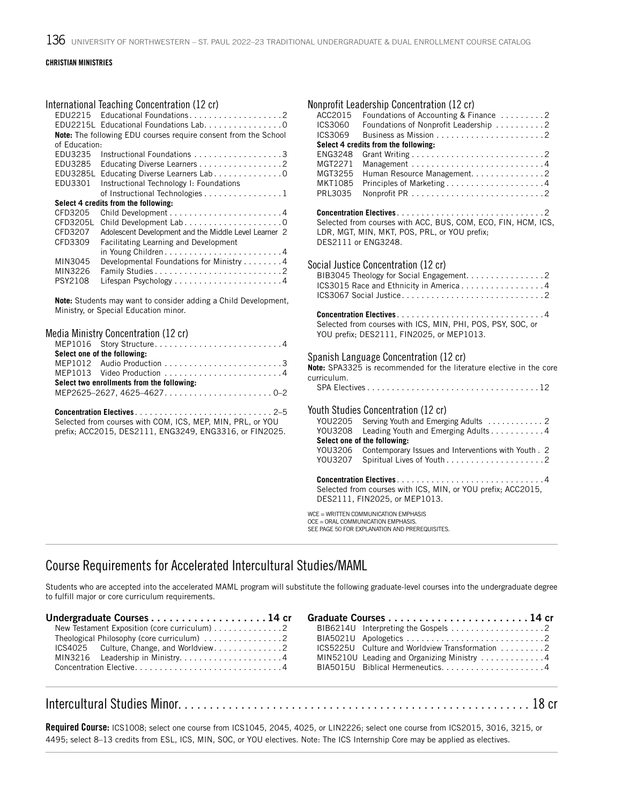#### International Teaching Concentration (12 cr)

| FDU2215       | EDU2215L Educational Foundations Lab. 0                                |
|---------------|------------------------------------------------------------------------|
|               | <b>Note:</b> The following EDU courses require consent from the School |
| of Education: |                                                                        |
| EDU3235       | Instructional Foundations 3                                            |
| EDU3285       | Educating Diverse Learners 2                                           |
| EDU3285L      | Educating Diverse Learners Lab 0                                       |
| EDU3301       | Instructional Technology I: Foundations                                |
|               | of Instructional Technologies 1                                        |
|               | Select 4 credits from the following:                                   |
| CFD3205       |                                                                        |
| CFD3205L      | Child Development Lab0                                                 |
| CFD3207       | Adolescent Development and the Middle Level Learner 2                  |
| CFD3309       | Facilitating Learning and Development                                  |
|               | in Young Children4                                                     |
| MIN3045       | Developmental Foundations for Ministry 4                               |
| MIN3226       | Family Studies2                                                        |
| PSY2108       |                                                                        |

**Note:** Students may want to consider adding a Child Development, Ministry, or Special Education minor.

### Media Ministry Concentration (12 cr)

| MEP1016 Story Structure4                                   |
|------------------------------------------------------------|
| Select one of the following:                               |
|                                                            |
|                                                            |
| Select two enrollments from the following:                 |
|                                                            |
|                                                            |
|                                                            |
| Selected from courses with COM, ICS, MEP, MIN, PRL, or YOU |
| prefix: ACC2015. DES2111. ENG3249. ENG3316. or FIN2025.    |
|                                                            |
|                                                            |
|                                                            |

| Nonprofit Leadership Concentration (12 cr)                                 |
|----------------------------------------------------------------------------|
| ACC2015<br>Foundations of Accounting & Finance 2                           |
| ICS3060<br>Foundations of Nonprofit Leadership 2                           |
| ICS3069                                                                    |
| Select 4 credits from the following:                                       |
| <b>ENG3248</b>                                                             |
| MGT2271                                                                    |
| Human Resource Management. 2<br>MGT3255                                    |
| MKT1085                                                                    |
| PRL3035                                                                    |
|                                                                            |
| Selected from courses with ACC, BUS, COM, ECO, FIN, HCM, ICS,              |
| LDR, MGT, MIN, MKT, POS, PRL, or YOU prefix;                               |
| DES2111 or ENG3248.                                                        |
|                                                                            |
| Social Justice Concentration (12 cr)                                       |
| BIB3045 Theology for Social Engagement. 2                                  |
| ICS3015 Race and Ethnicity in America4                                     |
|                                                                            |
|                                                                            |
| Concentration Electives4                                                   |
| Selected from courses with ICS, MIN, PHI, POS, PSY, SOC, or                |
| YOU prefix; DES2111, FIN2025, or MEP1013.                                  |
|                                                                            |
| Spanish Language Concentration (12 cr)                                     |
| Note: SPA3325 is recommended for the literature elective in the core       |
| curriculum.                                                                |
|                                                                            |
|                                                                            |
| Youth Studies Concentration (12 cr)                                        |
| YOU2205<br>Serving Youth and Emerging Adults  2                            |
| YOU3208<br>Leading Youth and Emerging Adults 4                             |
| Select one of the following:                                               |
| YOU3206<br>Contemporary Issues and Interventions with Youth . 2            |
| YOU3207                                                                    |
|                                                                            |
| Selected from courses with ICS, MIN, or YOU prefix; ACC2015,               |
| DES2111, FIN2025, or MEP1013.                                              |
|                                                                            |
| WCE = WRITTEN COMMUNICATION EMPHASIS<br>OCE = ORAL COMMUNICATION EMPHASIS. |
| SEE PAGE 50 FOR EXPLANATION AND PREREQUISITES.                             |
|                                                                            |

### Course Requirements for Accelerated Intercultural Studies/MAML

Students who are accepted into the accelerated MAML program will substitute the following graduate-level courses into the undergraduate degree to fulfill major or core curriculum requirements.

| New Testament Exposition (core curriculum) 2                           |                                                 |
|------------------------------------------------------------------------|-------------------------------------------------|
| Theological Philosophy (core curriculum) $\ldots \ldots \ldots \ldots$ |                                                 |
|                                                                        | ICS5225U Culture and Worldview Transformation 2 |
|                                                                        | MIN5210U Leading and Organizing Ministry 4      |
|                                                                        |                                                 |

# Intercultural Studies Minor........................................................ 18 cr

Required Course: ICS1008; select one course from ICS1045, 2045, 4025, or LIN2226; select one course from ICS2015, 3016, 3215, or 4495; select 8–13 credits from ESL, ICS, MIN, SOC, or YOU electives. Note: The ICS Internship Core may be applied as electives.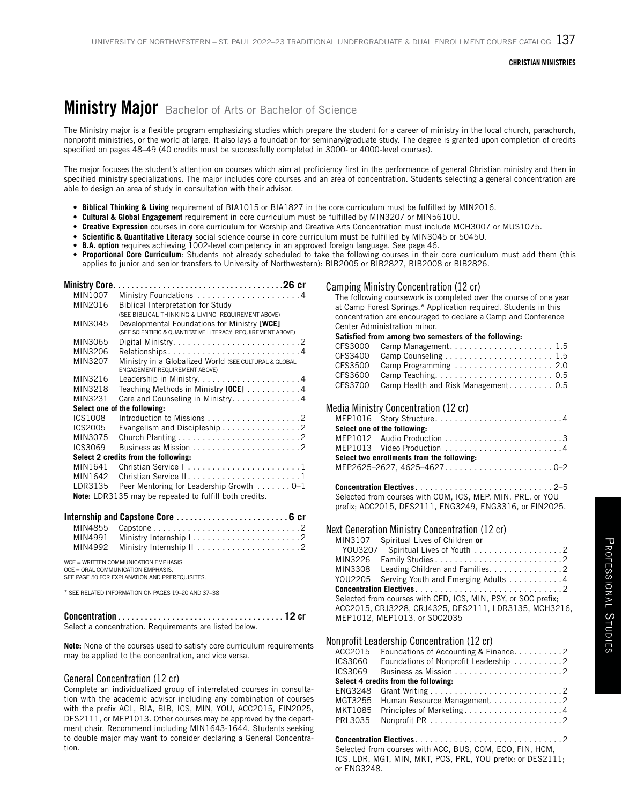# Ministry Major Bachelor of Arts or Bachelor of Science

The Ministry major is a flexible program emphasizing studies which prepare the student for a career of ministry in the local church, parachurch, nonprofit ministries, or the world at large. It also lays a foundation for seminary/graduate study. The degree is granted upon completion of credits specified on pages 48–49 (40 credits must be successfully completed in 3000- or 4000-level courses).

The major focuses the student's attention on courses which aim at proficiency first in the performance of general Christian ministry and then in specified ministry specializations. The major includes core courses and an area of concentration. Students selecting a general concentration are able to design an area of study in consultation with their advisor.

- **• Biblical Thinking & Living** requirement of BIA1015 or BIA1827 in the core curriculum must be fulfilled by MIN2016.
- **• Cultural & Global Engagement** requirement in core curriculum must be fulfilled by MIN3207 or MIN5610U.
- **• Creative Expression** courses in core curriculum for Worship and Creative Arts Concentration must include MCH3007 or MUS1075.
- **• Scientific & Quantitative Literacy** social science course in core curriculum must be fulfilled by MIN3045 or 5045U.
- **• B.A. option** requires achieving 1002-level competency in an approved foreign language. See page 46.
- **• Proportional Core Curriculum**: Students not already scheduled to take the following courses in their core curriculum must add them (this applies to junior and senior transfers to University of Northwestern): BIB2005 or BIB2827, BIB2008 or BIB2826.

| MIN1007        | Ministry Foundations 4                                                                                                       |
|----------------|------------------------------------------------------------------------------------------------------------------------------|
| MIN2016        | Biblical Interpretation for Study                                                                                            |
|                | (SEE BIBLICAL THINKING & LIVING REQUIREMENT ABOVE)                                                                           |
| MIN3045        | Developmental Foundations for Ministry [WCE]                                                                                 |
|                | (SEE SCIENTIFIC & QUANTITATIVE LITERACY REQUIREMENT ABOVE)                                                                   |
| MIN3065        |                                                                                                                              |
| MIN3206        | Relationships4                                                                                                               |
| MIN3207        | Ministry in a Globalized World (SEE CULTURAL & GLOBAL<br><b>ENGAGEMENT REQUIREMENT ABOVE)</b>                                |
| MIN3216        |                                                                                                                              |
| MIN3218        | Teaching Methods in Ministry [OCE] 4                                                                                         |
| MIN3231        | Care and Counseling in Ministry. 4                                                                                           |
|                | Select one of the following:                                                                                                 |
| <b>ICS1008</b> |                                                                                                                              |
| ICS2005        | Evangelism and Discipleship 2                                                                                                |
| MIN3075        |                                                                                                                              |
| ICS3069        |                                                                                                                              |
|                | Select 2 credits from the following:                                                                                         |
| MIN1641        | Christian Service I1                                                                                                         |
| MIN1642        |                                                                                                                              |
| LDR3135        | Peer Mentoring for Leadership Growth 0-1                                                                                     |
|                | Note: LDR3135 may be repeated to fulfill both credits.                                                                       |
|                | Internship and Capstone Core  6 cr                                                                                           |
| MIN4855        |                                                                                                                              |
| MIN4991        |                                                                                                                              |
| MIN4992        |                                                                                                                              |
|                | WCE = WRITTEN COMMUNICATION EMPHASIS<br>OCE = ORAL COMMUNICATION EMPHASIS.<br>SEE PAGE 50 FOR EXPLANATION AND PREREQUISITES. |
|                | * SEE RELATED INFORMATION ON PAGES 19-20 AND 37-38                                                                           |

| $\text{Concentration} \dots \dots \dots \dots \dots \dots \dots \dots \dots \dots \dots \dots 12$ cr                                                                                                                               |  |
|------------------------------------------------------------------------------------------------------------------------------------------------------------------------------------------------------------------------------------|--|
| $\bigcirc$ . In the compact of the state of the compact of the state of the state of the state of the state of the state of the state of the state of the state of the state of the state of the state of the state of the state o |  |

Select a concentration. Requirements are listed below.

**Note:** None of the courses used to satisfy core curriculum requirements may be applied to the concentration, and vice versa.

#### General Concentration (12 cr)

Complete an individualized group of interrelated courses in consultation with the academic advisor including any combination of courses with the prefix ACL, BIA, BIB, ICS, MIN, YOU, ACC2015, FIN2025, DES2111, or MEP1013. Other courses may be approved by the department chair. Recommend including MIN1643-1644. Students seeking to double major may want to consider declaring a General Concentration.

#### Camping Ministry Concentration (12 cr)

The following coursework is completed over the course of one year at Camp Forest Springs.\* Application required. Students in this concentration are encouraged to declare a Camp and Conference Center Administration minor.

#### Satisfied from among two semesters of the following:

| CFS3000 Camp Management 1.5                 |  |
|---------------------------------------------|--|
|                                             |  |
| CFS3500 Camp Programming  2.0               |  |
|                                             |  |
| CFS3700 Camp Health and Risk Management 0.5 |  |
|                                             |  |

### Media Ministry Concentration (12 cr)

| Select one of the following:               |
|--------------------------------------------|
|                                            |
|                                            |
| Select two enrollments from the following: |
| MEP2625-2627.4625-46270-2                  |

**Concentration Electives**. 2–5 Selected from courses with COM, ICS, MEP, MIN, PRL, or YOU prefix; ACC2015, DES2111, ENG3249, ENG3316, or FIN2025.

#### Next Generation Ministry Concentration (12 cr)

| MIN3107                                                       | Spiritual Lives of Children or      |  |
|---------------------------------------------------------------|-------------------------------------|--|
| YOU3207                                                       | Spiritual Lives of Youth 2          |  |
| MIN3226                                                       |                                     |  |
| MIN3308                                                       | Leading Children and Families. 2    |  |
| YOU2205                                                       | Serving Youth and Emerging Adults 4 |  |
|                                                               |                                     |  |
| Selected from courses with CFD, ICS, MIN, PSY, or SOC prefix; |                                     |  |
| ACC2015, CRJ3228, CRJ4325, DES2111, LDR3135, MCH3216,         |                                     |  |
|                                                               | MEP1012. MEP1013. or SOC2035        |  |
|                                                               |                                     |  |

#### Nonprofit Leadership Concentration (12 cr)

|         | ACC2015 Foundations of Accounting & Finance2                    |  |  |
|---------|-----------------------------------------------------------------|--|--|
| ICS3060 | Foundations of Nonprofit Leadership 2                           |  |  |
| ICS3069 | Business as Mission $\ldots \ldots \ldots \ldots \ldots \ldots$ |  |  |
|         | Select 4 credits from the following:                            |  |  |
|         |                                                                 |  |  |
|         | MGT3255 Human Resource Management2                              |  |  |
|         | MKT1085 Principles of Marketing4                                |  |  |
| PRL3035 |                                                                 |  |  |
|         |                                                                 |  |  |

#### **Concentration Electives**. 2

Selected from courses with ACC, BUS, COM, ECO, FIN, HCM, ICS, LDR, MGT, MIN, MKT, POS, PRL, YOU prefix; or DES2111; or ENG3248.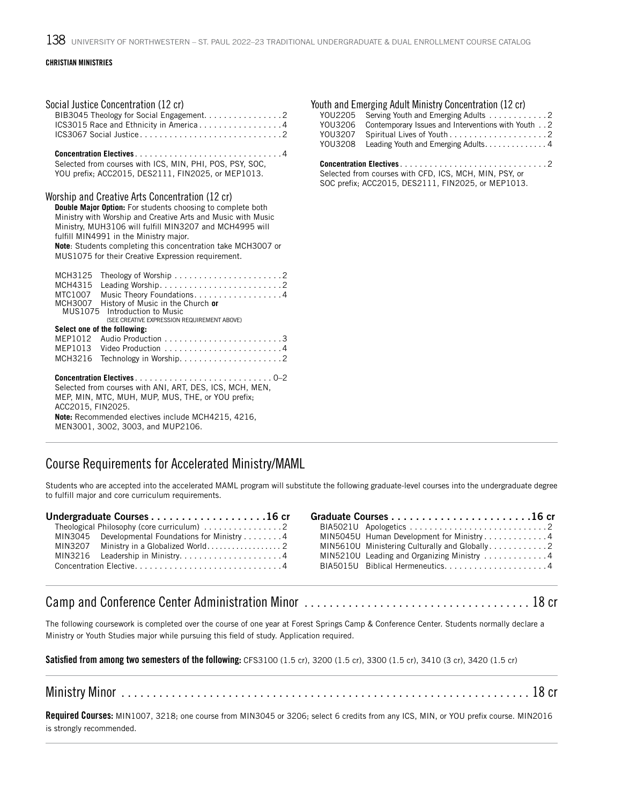| Social Justice Concentration (12 cr)<br>BIB3045 Theology for Social Engagement. 2<br>ICS3015 Race and Ethnicity in America4                                                                                                                                                                                                                                                                                                                                                                                                                                                                                                                              | Youth and Emerging Adult Ministry Concentration (12 cr)<br>YOU2205<br>Serving Youth and Emerging Adults 2<br>Contemporary Issues and Interventions with Youth 2<br>YOU3206<br>YOU3207<br>Leading Youth and Emerging Adults. 4<br>YOU3208 |
|----------------------------------------------------------------------------------------------------------------------------------------------------------------------------------------------------------------------------------------------------------------------------------------------------------------------------------------------------------------------------------------------------------------------------------------------------------------------------------------------------------------------------------------------------------------------------------------------------------------------------------------------------------|------------------------------------------------------------------------------------------------------------------------------------------------------------------------------------------------------------------------------------------|
| Selected from courses with ICS, MIN, PHI, POS, PSY, SOC,<br>YOU prefix: ACC2015, DES2111, FIN2025, or MEP1013.                                                                                                                                                                                                                                                                                                                                                                                                                                                                                                                                           | Selected from courses with CFD, ICS, MCH, MIN, PSY, or<br>SOC prefix: ACC2015, DES2111, FIN2025, or MEP1013.                                                                                                                             |
| Worship and Creative Arts Concentration (12 cr)<br><b>Double Major Option:</b> For students choosing to complete both<br>Ministry with Worship and Creative Arts and Music with Music<br>Ministry, MUH3106 will fulfill MIN3207 and MCH4995 will<br>fulfill MIN4991 in the Ministry major.<br>Note: Students completing this concentration take MCH3007 or<br>MUS1075 for their Creative Expression requirement.<br>MCH3125<br>MCH4315<br>Music Theory Foundations. 4<br>MTC1007<br>MCH3007 History of Music in the Church or<br>MUS1075 Introduction to Music<br>(SEE CREATIVE EXPRESSION REQUIREMENT ABOVE)<br>Select one of the following:<br>MEP1013 |                                                                                                                                                                                                                                          |
| Selected from courses with ANI, ART, DES, ICS, MCH, MEN,<br>MEP, MIN, MTC, MUH, MUP, MUS, THE, or YOU prefix;<br>ACC2015, FIN2025.<br>Note: Recommended electives include MCH4215, 4216,<br>MEN3001, 3002, 3003, and MUP2106.                                                                                                                                                                                                                                                                                                                                                                                                                            |                                                                                                                                                                                                                                          |

### Course Requirements for Accelerated Ministry/MAML

Students who are accepted into the accelerated MAML program will substitute the following graduate-level courses into the undergraduate degree to fulfill major and core curriculum requirements.

| MIN3045 Developmental Foundations for Ministry 4 |  | MIN5045U Human Development for Ministry4      |
|--------------------------------------------------|--|-----------------------------------------------|
|                                                  |  | MIN5610U Ministering Culturally and Globally2 |
|                                                  |  | MIN5210U Leading and Organizing Ministry 4    |
| Concentration Elective4                          |  | $BIA5015U$ Biblical Hermeneutics4             |

# Camp and Conference Center Administration Minor . . . . . . . . . . . . . . . . . . . . . . . . . . . . . . . . . . . . 18 cr

The following coursework is completed over the course of one year at Forest Springs Camp & Conference Center. Students normally declare a Ministry or Youth Studies major while pursuing this field of study. Application required.

Satisfied from among two semesters of the following: CFS3100 (1.5 cr), 3200 (1.5 cr), 3300 (1.5 cr), 3410 (3 cr), 3420 (1.5 cr)

### Ministry Minor . . . . . . . . . . . . . . . . . . . . . . . . . . . . . . . . . . . . . . . . . . . . . . . . . . . . . . . . . . . . . . . . . 18 cr

Required Courses: MIN1007, 3218; one course from MIN3045 or 3206; select 6 credits from any ICS, MIN, or YOU prefix course. MIN2016 is strongly recommended.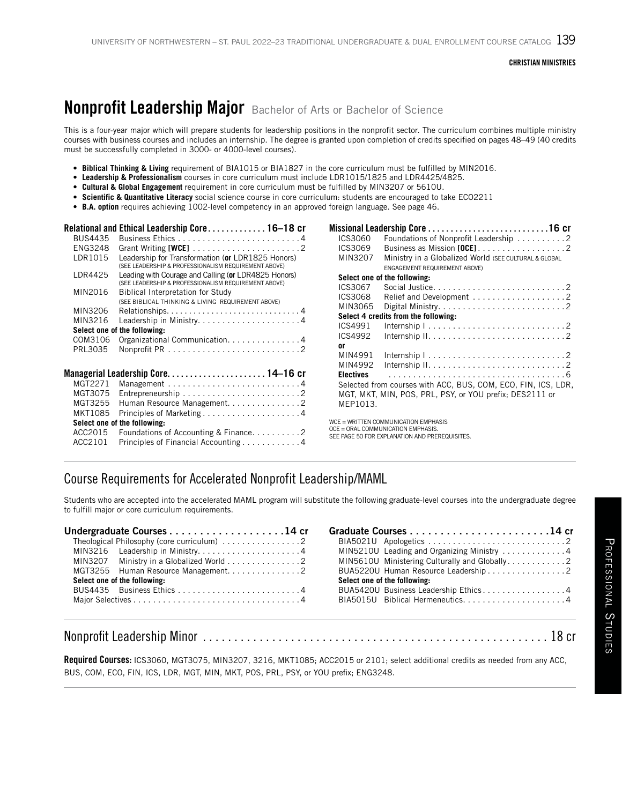# **Nonprofit Leadership Major** Bachelor of Arts or Bachelor of Science

This is a four-year major which will prepare students for leadership positions in the nonprofit sector. The curriculum combines multiple ministry courses with business courses and includes an internship. The degree is granted upon completion of credits specified on pages 48–49 (40 credits must be successfully completed in 3000- or 4000-level courses).

- **• Biblical Thinking & Living** requirement of BIA1015 or BIA1827 in the core curriculum must be fulfilled by MIN2016.
- **• Leadership & Professionalism** courses in core curriculum must include LDR1015/1825 and LDR4425/4825.
- **Cultural & Global Engagement** requirement in core curriculum must be fulfilled by MIN3207 or 5610U.
- **Scientific & Quantitative Literacy** social science course in core curriculum: students are encouraged to take ECO2211
- **B.A. option** requires achieving 1002-level competency in an approved foreign language. See page 46.

|                | Relational and Ethical Leadership Core. 16–18 cr                                                             |  |  |
|----------------|--------------------------------------------------------------------------------------------------------------|--|--|
| <b>BUS4435</b> |                                                                                                              |  |  |
| <b>ENG3248</b> | Grant Writing $[WCE]$ 2                                                                                      |  |  |
| LDR1015        | Leadership for Transformation (or LDR1825 Honors)<br>(SEE LEADERSHIP & PROFESSIONALISM REQUIREMENT ABOVE)    |  |  |
| LDR4425        | Leading with Courage and Calling (or LDR4825 Honors)<br>(SEE LEADERSHIP & PROFESSIONALISM REQUIREMENT ABOVE) |  |  |
| MIN2016        | <b>Biblical Interpretation for Study</b>                                                                     |  |  |
|                | (SEE BIBLICAL THINKING & LIVING REQUIREMENT ABOVE)                                                           |  |  |
| MIN3206        |                                                                                                              |  |  |
| MIN3216        | Leadership in Ministry4                                                                                      |  |  |
|                | Select one of the following:                                                                                 |  |  |
| COM3106        | Organizational Communication. 4                                                                              |  |  |
| PRL3035        |                                                                                                              |  |  |
|                |                                                                                                              |  |  |
| MGT2271        |                                                                                                              |  |  |
| MGT3075        |                                                                                                              |  |  |
| MGT3255        | Human Resource Management. 2                                                                                 |  |  |
| MKT1085        |                                                                                                              |  |  |
|                | Select one of the following:                                                                                 |  |  |
| ACC2015        | Foundations of Accounting & Finance2                                                                         |  |  |
| ACC2101        | Principles of Financial Accounting4                                                                          |  |  |

| ICS3060          | Foundations of Nonprofit Leadership 2                                     |  |
|------------------|---------------------------------------------------------------------------|--|
| ICS3069          |                                                                           |  |
| MIN3207          | Ministry in a Globalized World (SEE CULTURAL & GLOBAL                     |  |
|                  | ENGAGEMENT REQUIREMENT ABOVE)                                             |  |
|                  | Select one of the following:                                              |  |
| ICS3067          |                                                                           |  |
| ICS3068          |                                                                           |  |
| MIN3065          |                                                                           |  |
|                  | Select 4 credits from the following:                                      |  |
| ICS4991          | Internship $1, \ldots, \ldots, \ldots, \ldots, \ldots, \ldots, \ldots, 2$ |  |
| ICS4992          |                                                                           |  |
| 0ľ               |                                                                           |  |
| MIN4991          | Internship $1, \ldots, \ldots, \ldots, \ldots, \ldots, \ldots, \ldots, 2$ |  |
| MIN4992          |                                                                           |  |
| <b>Electives</b> |                                                                           |  |
|                  | Selected from courses with ACC, BUS, COM, ECO, FIN, ICS, LDR,             |  |
|                  | MGT, MKT, MIN, POS, PRL, PSY, or YOU prefix; DES2111 or                   |  |
| MEP1013.         |                                                                           |  |
|                  |                                                                           |  |

WCE = WRITTEN COMMUNICATION EMPHASIS OCE = ORAL COMMUNICATION EMPHASIS.

SEE PAGE 50 FOR EXPLANATION AND PREREQUISITES.

### Course Requirements for Accelerated Nonprofit Leadership/MAML

Students who are accepted into the accelerated MAML program will substitute the following graduate-level courses into the undergraduate degree to fulfill major or core curriculum requirements.

|                                          | MIN5210U Leading and Organizing Ministry 4 |
|------------------------------------------|--------------------------------------------|
| MIN3207 Ministry in a Globalized World 2 |                                            |
| MGT3255 Human Resource Management. 2     | BUA5220U Human Resource Leadership 2       |
| Select one of the following:             | Select one of the following:               |
|                                          | BUA5420U Business Leadership Ethics4       |
|                                          |                                            |

Required Courses: ICS3060, MGT3075, MIN3207, 3216, MKT1085; ACC2015 or 2101; select additional credits as needed from any ACC, BUS, COM, ECO, FIN, ICS, LDR, MGT, MIN, MKT, POS, PRL, PSY, or YOU prefix; ENG3248.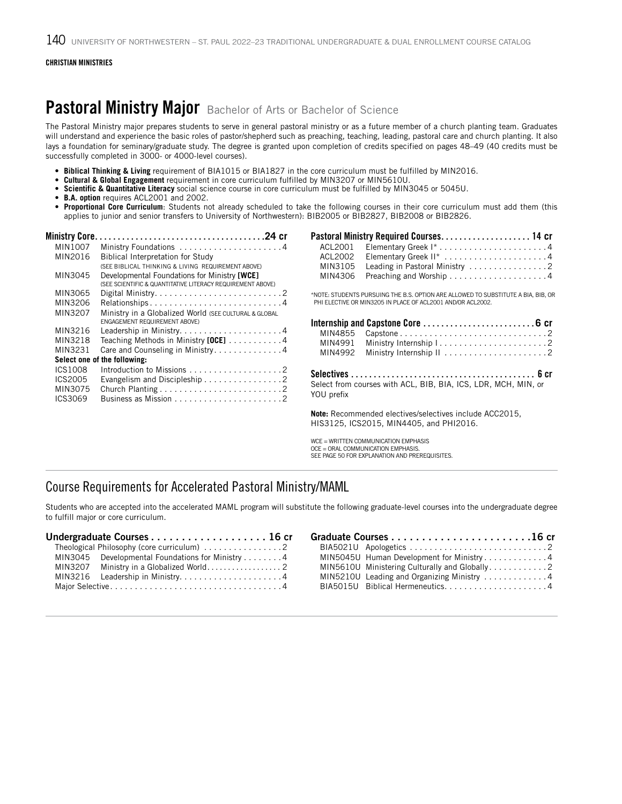# Pastoral Ministry Major Bachelor of Arts or Bachelor of Science

The Pastoral Ministry major prepares students to serve in general pastoral ministry or as a future member of a church planting team. Graduates will understand and experience the basic roles of pastor/shepherd such as preaching, teaching, leading, pastoral care and church planting. It also lays a foundation for seminary/graduate study. The degree is granted upon completion of credits specified on pages 48–49 (40 credits must be successfully completed in 3000- or 4000-level courses).

- **• Biblical Thinking & Living** requirement of BIA1015 or BIA1827 in the core curriculum must be fulfilled by MIN2016.
- **• Cultural & Global Engagement** requirement in core curriculum fulfilled by MIN3207 or MIN5610U.
- **• Scientific & Quantitative Literacy** social science course in core curriculum must be fulfilled by MIN3045 or 5045U.
- **• B.A. option** requires ACL2001 and 2002.
- **• Proportional Core Curriculum**: Students not already scheduled to take the following courses in their core curriculum must add them (this applies to junior and senior transfers to University of Northwestern): BIB2005 or BIB2827, BIB2008 or BIB2826.

| <b>Ministry Core.</b> |                                                                                    |
|-----------------------|------------------------------------------------------------------------------------|
| MIN1007               |                                                                                    |
| MIN2016               | <b>Biblical Interpretation for Study</b>                                           |
|                       | (SEE BIBLICAL THINKING & LIVING REQUIREMENT ABOVE)                                 |
| MIN3045               | Developmental Foundations for Ministry [WCE]                                       |
|                       | (SEE SCIENTIFIC & QUANTITATIVE LITERACY REQUIREMENT ABOVE)                         |
| MIN3065               | Digital Ministry. $\ldots \ldots \ldots \ldots \ldots \ldots \ldots \ldots \ldots$ |
| MIN3206               | Relationships4                                                                     |
| MIN3207               | Ministry in a Globalized World (SEE CULTURAL & GLOBAL                              |
|                       | ENGAGEMENT REQUIREMENT ABOVE)                                                      |
| MIN3216               |                                                                                    |
| MIN3218               | Teaching Methods in Ministry $[OCE]$ 4                                             |
| MIN3231               | Care and Counseling in Ministry4                                                   |
|                       | Select one of the following:                                                       |
| <b>ICS1008</b>        |                                                                                    |
| ICS2005               | Evangelism and Discipleship 2                                                      |
| MIN3075               |                                                                                    |
| ICS3069               |                                                                                    |
|                       |                                                                                    |

\*NOTE: STUDENTS PURSUING THE B.S. OPTION ARE ALLOWED TO SUBSTITUTE A BIA, BIB, OR PHI ELECTIVE OR MIN3205 IN PLACE OF ACL2001 AND/OR ACL2002.

|                                                                              | MIN4855 Capstone2 |  |
|------------------------------------------------------------------------------|-------------------|--|
|                                                                              |                   |  |
| MIN4992                                                                      |                   |  |
| Select from courses with ACL, BIB, BIA, ICS, LDR, MCH, MIN, or<br>YOU prefix |                   |  |

**Note:** Recommended electives/selectives include ACC2015, HIS3125, ICS2015, MIN4405, and PHI2016.

WCE = WRITTEN COMMUNICATION EMPHASIS OCE = ORAL COMMUNICATION EMPHASIS. SEE PAGE 50 FOR EXPLANATION AND PREREQUISITES.

## Course Requirements for Accelerated Pastoral Ministry/MAML

Students who are accepted into the accelerated MAML program will substitute the following graduate-level courses into the undergraduate degree to fulfill major or core curriculum.

| Theological Philosophy (core curriculum) 2       |  |
|--------------------------------------------------|--|
| MIN3045 Developmental Foundations for Ministry 4 |  |
|                                                  |  |
|                                                  |  |
|                                                  |  |

| MIN5045U Human Development for Ministry4   |  |
|--------------------------------------------|--|
|                                            |  |
| MIN5210U Leading and Organizing Ministry 4 |  |
|                                            |  |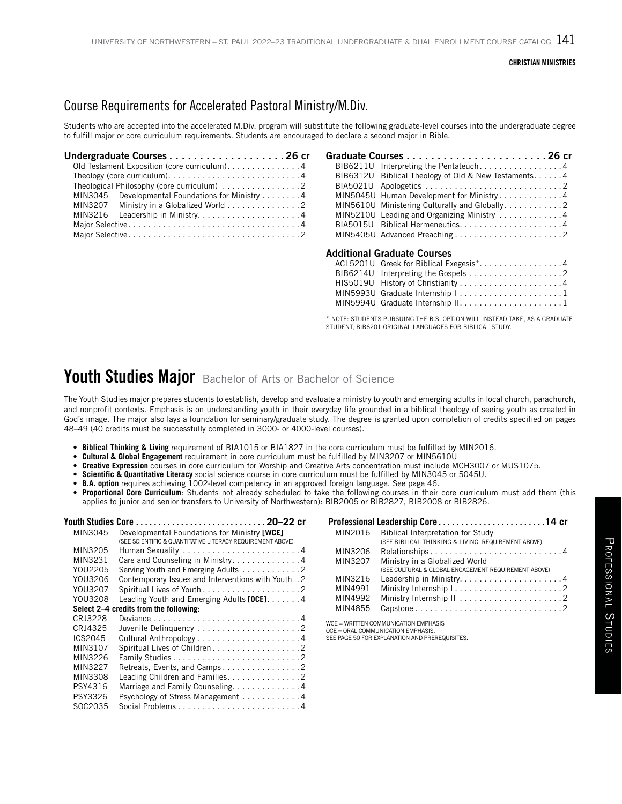# Course Requirements for Accelerated Pastoral Ministry/M.Div.

Students who are accepted into the accelerated M.Div. program will substitute the following graduate-level courses into the undergraduate degree to fulfill major or core curriculum requirements. Students are encouraged to declare a second major in Bible.

| Old Testament Exposition (core curriculum). 4                                       |  |
|-------------------------------------------------------------------------------------|--|
| Theology (core curriculum). $\dots \dots \dots \dots \dots \dots \dots \dots \dots$ |  |
| Theological Philosophy (core curriculum) 2                                          |  |
| MIN3045 Developmental Foundations for Ministry 4                                    |  |
| MIN3207 Ministry in a Globalized World 2                                            |  |
|                                                                                     |  |
|                                                                                     |  |
|                                                                                     |  |

| BIB6211U        | Interpreting the Pentateuch4                 |
|-----------------|----------------------------------------------|
| BIB6312U        | Biblical Theology of Old & New Testaments. 4 |
| BIA5021U        |                                              |
| MIN5045U        | Human Development for Ministry4              |
| MIN5610U        | Ministering Culturally and Globally2         |
| MIN5210U        | Leading and Organizing Ministry 4            |
| <b>BIA5015U</b> |                                              |
|                 |                                              |
|                 | Additional Graduate Courses                  |
|                 | ACL5201U Greek for Biblical Exegesis*4       |
| BIB6214U        |                                              |
| <b>HIS5019U</b> |                                              |
| MIN5993U        | Graduate Internship   1                      |
| MIN5994U        |                                              |
|                 |                                              |

\* NOTE: STUDENTS PURSUING THE B.S. OPTION WILL INSTEAD TAKE, AS A GRADUATE STUDENT, BIB6201 ORIGINAL LANGUAGES FOR BIBLICAL STUDY.

# Youth Studies Major Bachelor of Arts or Bachelor of Science

The Youth Studies major prepares students to establish, develop and evaluate a ministry to youth and emerging adults in local church, parachurch, and nonprofit contexts. Emphasis is on understanding youth in their everyday life grounded in a biblical theology of seeing youth as created in God's image. The major also lays a foundation for seminary/graduate study. The degree is granted upon completion of credits specified on pages 48–49 (40 credits must be successfully completed in 3000- or 4000-level courses).

- **• Biblical Thinking & Living** requirement of BIA1015 or BIA1827 in the core curriculum must be fulfilled by MIN2016.
- **• Cultural & Global Engagement** requirement in core curriculum must be fulfilled by MIN3207 or MIN5610U
- **• Creative Expression** courses in core curriculum for Worship and Creative Arts concentration must include MCH3007 or MUS1075.
- **• Scientific & Quantitative Literacy** social science course in core curriculum must be fulfilled by MIN3045 or 5045U.
- **• B.A. option** requires achieving 1002-level competency in an approved foreign language. See page 46.
- **• Proportional Core Curriculum**: Students not already scheduled to take the following courses in their core curriculum must add them (this applies to junior and senior transfers to University of Northwestern): BIB2005 or BIB2827, BIB2008 or BIB2826.

| MIN3045 | Developmental Foundations for Ministry [WCE]<br>(SEE SCIENTIFIC & QUANTITATIVE LITERACY REQUIREMENT ABOVE) |
|---------|------------------------------------------------------------------------------------------------------------|
| MIN3205 | Human Sexuality $\ldots \ldots \ldots \ldots \ldots \ldots \ldots$                                         |
| MIN3231 | Care and Counseling in Ministry4                                                                           |
| YOU2205 | Serving Youth and Emerging Adults 2                                                                        |
| YOU3206 | Contemporary Issues and Interventions with Youth . 2                                                       |
| YOU3207 |                                                                                                            |
| YOU3208 | Leading Youth and Emerging Adults $[OCE] \ldots \ldots 4$                                                  |
|         | Select 2–4 credits from the following:                                                                     |
| CR13228 |                                                                                                            |
| CRJ4325 | Juvenile Delinquency 2                                                                                     |
| ICS2045 |                                                                                                            |
| MIN3107 | Spiritual Lives of Children 2                                                                              |
| MIN3226 | Family Studies2                                                                                            |
| MIN3227 | Retreats, Events, and Camps2                                                                               |
| MIN3308 | Leading Children and Families. 2                                                                           |
| PSY4316 | Marriage and Family Counseling. 4                                                                          |
| PSY3326 | Psychology of Stress Management 4                                                                          |
| SOC2035 |                                                                                                            |

|         | Professional Leadership Core14 cr                                         |
|---------|---------------------------------------------------------------------------|
| MIN2016 | Biblical Interpretation for Study                                         |
|         | (SEE BIBLICAL THINKING & LIVING REQUIREMENT ABOVE)                        |
| MIN3206 | Relationships4                                                            |
| MIN3207 | Ministry in a Globalized World                                            |
|         | (SEE CULTURAL & GLOBAL ENGAGEMENT REQUIREMENT ABOVE)                      |
| MIN3216 |                                                                           |
| MIN4991 |                                                                           |
| MIN4992 |                                                                           |
| MIN4855 |                                                                           |
|         | WCE = WRITTEN COMMUNICATION EMPHASIS<br>OCE - ORAL COMMUNICATION EMPLASIS |

OCE = ORAL COMMUNICATION EMPHASIS. SEE PAGE 50 FOR EXPLANATION AND PREREQUISITES.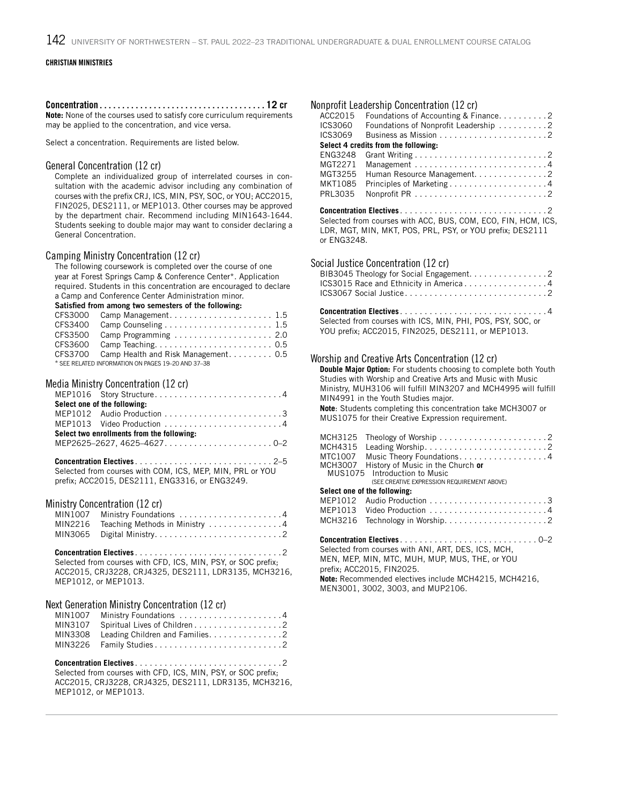Concentration. . **12** cr **Note:** None of the courses used to satisfy core curriculum requirements may be applied to the concentration, and vice versa.

Select a concentration. Requirements are listed below.

#### General Concentration (12 cr)

Complete an individualized group of interrelated courses in consultation with the academic advisor including any combination of courses with the prefix CRJ, ICS, MIN, PSY, SOC, or YOU; ACC2015, FIN2025, DES2111, or MEP1013. Other courses may be approved by the department chair. Recommend including MIN1643-1644. Students seeking to double major may want to consider declaring a General Concentration.

#### Camping Ministry Concentration (12 cr)

The following coursework is completed over the course of one year at Forest Springs Camp & Conference Center\*. Application required. Students in this concentration are encouraged to declare a Camp and Conference Center Administration minor.

Satisfied from among two semesters of the following:

| CFS3000 Camp Management 1.5                        |  |
|----------------------------------------------------|--|
|                                                    |  |
| CFS3500 Camp Programming  2.0                      |  |
|                                                    |  |
| CFS3700 Camp Health and Risk Management 0.5        |  |
| * SEE RELATED INFORMATION ON PAGES 19-20 AND 37-38 |  |

#### Media Ministry Concentration (12 cr)

| Select one of the following:               |
|--------------------------------------------|
|                                            |
| MEP1013 Video Production 4                 |
| Select two enrollments from the following: |
| MEP2625-2627, 4625-46270-2                 |

| Selected from courses with COM, ICS, MEP, MIN, PRL or YOU |
|-----------------------------------------------------------|
| prefix; ACC2015, DES2111, ENG3316, or ENG3249.            |

### Ministry Concentration (12 cr)

| MIN1007 Ministry Foundations 4         |
|----------------------------------------|
| MIN2216 Teaching Methods in Ministry 4 |
|                                        |

**Concentration Electives**. 2 Selected from courses with CFD, ICS, MIN, PSY, or SOC prefix; ACC2015, CRJ3228, CRJ4325, DES2111, LDR3135, MCH3216, MEP1012, or MEP1013.

#### Next Generation Ministry Concentration (12 cr)

| MIN1007 Ministry Foundations 4 |  |
|--------------------------------|--|
|                                |  |
|                                |  |
|                                |  |

**Concentration Electives**. 2 Selected from courses with CFD, ICS, MIN, PSY, or SOC prefix; ACC2015, CRJ3228, CRJ4325, DES2111, LDR3135, MCH3216, MEP1012, or MEP1013.

|                    | Nonprofit Leadership Concentration (12 cr)                                                                                                                                  |
|--------------------|-----------------------------------------------------------------------------------------------------------------------------------------------------------------------------|
| ACC2015            | Foundations of Accounting & Finance2                                                                                                                                        |
| ICS3060            | Foundations of Nonprofit Leadership 2                                                                                                                                       |
| ICS3069            |                                                                                                                                                                             |
|                    | Select 4 credits from the following:                                                                                                                                        |
| <b>ENG3248</b>     |                                                                                                                                                                             |
| MGT2271            |                                                                                                                                                                             |
| MGT3255<br>MKT1085 | Human Resource Management. 2                                                                                                                                                |
| PRL3035            | Principles of Marketing4                                                                                                                                                    |
|                    |                                                                                                                                                                             |
| or ENG3248.        | Selected from courses with ACC, BUS, COM, ECO, FIN, HCM, ICS,<br>LDR, MGT, MIN, MKT, POS, PRL, PSY, or YOU prefix; DES2111                                                  |
|                    | Social Justice Concentration (12 cr)                                                                                                                                        |
|                    | BIB3045 Theology for Social Engagement. 2                                                                                                                                   |
|                    | ICS3015 Race and Ethnicity in America4                                                                                                                                      |
|                    |                                                                                                                                                                             |
|                    |                                                                                                                                                                             |
|                    |                                                                                                                                                                             |
|                    | Selected from courses with ICS, MIN, PHI, POS, PSY, SOC, or<br>YOU prefix; ACC2015, FIN2025, DES2111, or MEP1013.                                                           |
|                    |                                                                                                                                                                             |
|                    |                                                                                                                                                                             |
|                    | Worship and Creative Arts Concentration (12 cr)<br><u>A state Article</u> in the state of the state of the state of the state of the state of the state of the state of the |
|                    |                                                                                                                                                                             |

**Double Major Option:** For students choosing to complete both Youth Studies with Worship and Creative Arts and Music with Music Ministry, MUH3106 will fulfill MIN3207 and MCH4995 will fulfill MIN4991 in the Youth Studies major. **Note**: Students completing this concentration take MCH3007 or MUS1075 for their Creative Expression requirement. MCH3125 Theology of Worship. . 2 MCH4315 Leading Worship. . 2 MTC1007 Music Theory Foundations. . . . . . . . . . . . . . . . . 4<br>MCH3007 History of Music in the Church or MCH3007 History of Music in the Church **or** Introduction to Music (SEE CREATIVE EXPRESSION REQUIREMENT ABOVE) **Select one of the following:** MEP1012 Audio Production. . 3 MEP1013 Video Production. . 4 MCH3216 Technology in Worship. . 2

#### **Concentration Electives**. 0–2

Selected from courses with ANI, ART, DES, ICS, MCH, MEN, MEP, MIN, MTC, MUH, MUP, MUS, THE, or YOU prefix; ACC2015, FIN2025. **Note:** Recommended electives include MCH4215, MCH4216, MEN3001, 3002, 3003, and MUP2106.